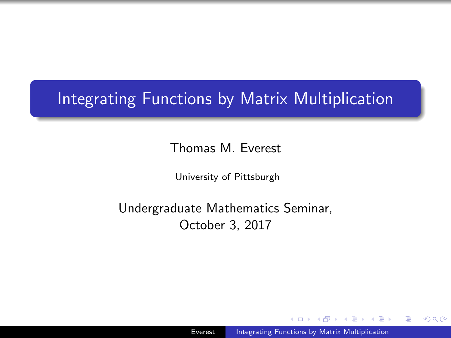### <span id="page-0-0"></span>Integrating Functions by Matrix Multiplication

Thomas M. Everest

University of Pittsburgh

Undergraduate Mathematics Seminar, October 3, 2017

 $\Omega$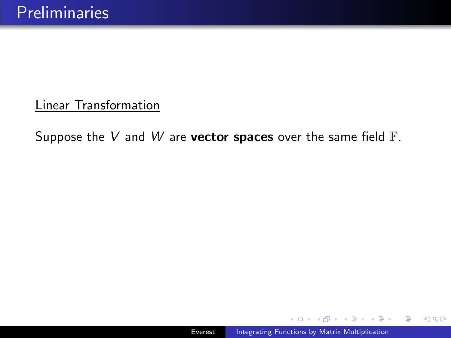#### Linear Transformation

Suppose the V and W are vector spaces over the same field  $\mathbb{F}$ .

医单位 化重

 $299$ 

э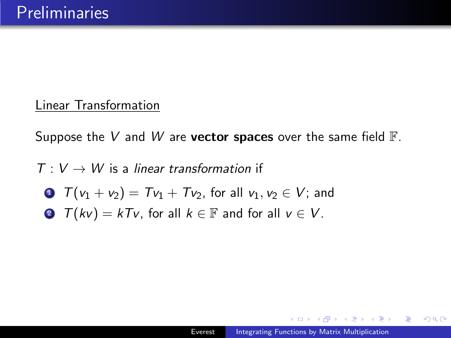#### Linear Transformation

Suppose the V and W are **vector spaces** over the same field  $\mathbb{F}$ .

- $T: V \rightarrow W$  is a linear transformation if
	- $T(v_1 + v_2) = Tv_1 + Tv_2$ , for all  $v_1, v_2 \in V$ ; and
	- **2**  $T(kv) = kTv$ , for all  $k \in \mathbb{F}$  and for all  $v \in V$ .

母 トマミト マミト

 $\Omega$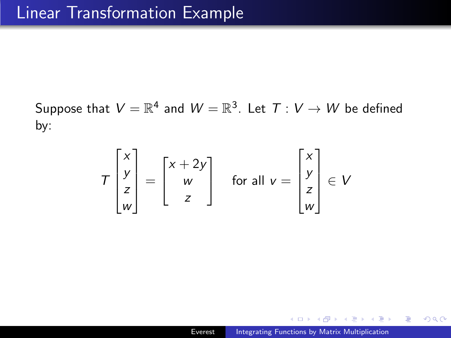Suppose that  $V=\mathbb{R}^4$  and  $W=\mathbb{R}^3$ . Let  $\mathcal{T}:\mathcal{V}\rightarrow\mathcal{W}$  be defined by:

$$
T\begin{bmatrix} x \\ y \\ z \\ w \end{bmatrix} = \begin{bmatrix} x + 2y \\ w \\ z \end{bmatrix} \quad \text{for all } v = \begin{bmatrix} x \\ y \\ z \\ w \end{bmatrix} \in V
$$

 $\mathcal{A} \xrightarrow{\sim} \mathcal{B} \rightarrow \mathcal{A} \xrightarrow{\sim} \mathcal{B}$ 

 $299$ 

э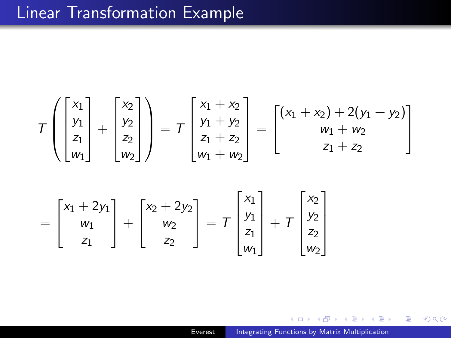### Linear Transformation Example

$$
T\left(\begin{bmatrix} x_1 \\ y_1 \\ z_1 \\ w_1 \end{bmatrix} + \begin{bmatrix} x_2 \\ y_2 \\ z_2 \\ w_2 \end{bmatrix}\right) = T\begin{bmatrix} x_1 + x_2 \\ y_1 + y_2 \\ z_1 + z_2 \\ w_1 + w_2 \end{bmatrix} = \begin{bmatrix} (x_1 + x_2) + 2(y_1 + y_2) \\ w_1 + w_2 \\ z_1 + z_2 \end{bmatrix}
$$

$$
= \begin{bmatrix} x_1 + 2y_1 \\ w_1 \\ z_1 \end{bmatrix} + \begin{bmatrix} x_2 + 2y_2 \\ w_2 \\ z_2 \end{bmatrix} = T \begin{bmatrix} x_1 \\ y_1 \\ z_1 \\ w_1 \end{bmatrix} + T \begin{bmatrix} x_2 \\ y_2 \\ z_2 \\ w_2 \end{bmatrix}
$$

目

э  $\sim$ ∍ **B**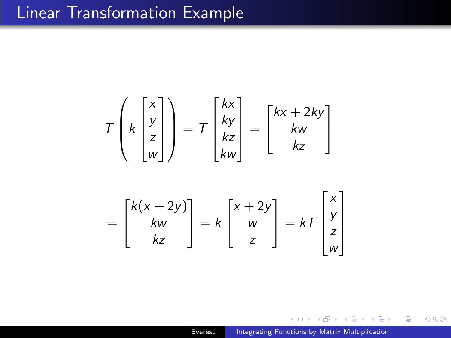### Linear Transformation Example

$$
T\left(k\begin{bmatrix} x \\ y \\ z \\ w \end{bmatrix}\right) = T\begin{bmatrix} kx \\ ky \\ kz \\ kw \end{bmatrix} = \begin{bmatrix} kx + 2ky \\ kw \\ kz \end{bmatrix}
$$

$$
= \begin{bmatrix} k(x+2y) \\ kw \\ kz \end{bmatrix} = k \begin{bmatrix} x+2y \\ w \\ z \end{bmatrix} = k \begin{bmatrix} x \\ y \\ z \\ w \end{bmatrix}
$$

 $\sim$ 

 $\sim$ ∢ 重 ≯ 目

ヨト

×.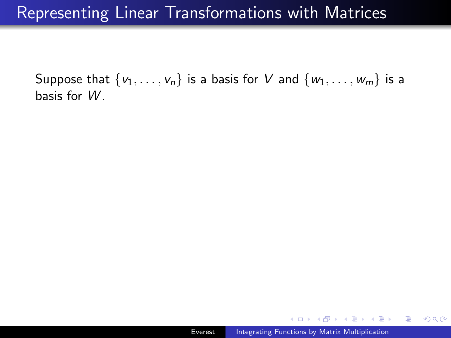Suppose that  $\{v_1, \ldots, v_n\}$  is a basis for V and  $\{w_1, \ldots, w_m\}$  is a basis for W .

御 \* 4回 \* 4回 \* \_

 $2990$ 

重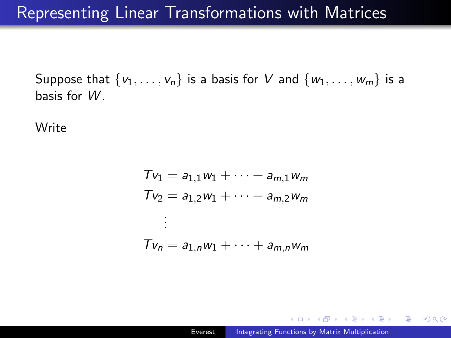Suppose that  $\{v_1, \ldots, v_n\}$  is a basis for V and  $\{w_1, \ldots, w_m\}$  is a basis for W .

**Write** 

$$
Tv_1 = a_{1,1}w_1 + \dots + a_{m,1}w_m
$$
  
\n
$$
Tv_2 = a_{1,2}w_1 + \dots + a_{m,2}w_m
$$
  
\n
$$
\vdots
$$
  
\n
$$
Tv_n = a_{1,n}w_1 + \dots + a_{m,n}w_m
$$

御 ト イヨ ト イヨ トー

 $\equiv$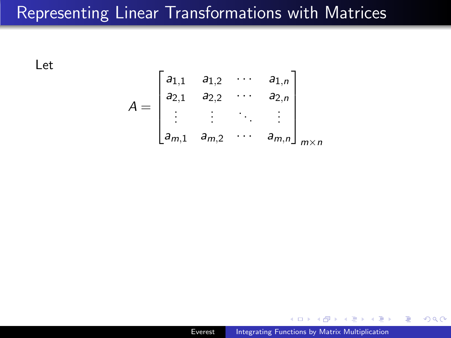Let

$$
A = \begin{bmatrix} a_{1,1} & a_{1,2} & \cdots & a_{1,n} \\ a_{2,1} & a_{2,2} & \cdots & a_{2,n} \\ \vdots & \vdots & \ddots & \vdots \\ a_{m,1} & a_{m,2} & \cdots & a_{m,n} \end{bmatrix}_{m \times n}
$$

 $\mathbf{A} \equiv \mathbf{A} \times \mathbf{A} \equiv \mathbf{A}$ 

E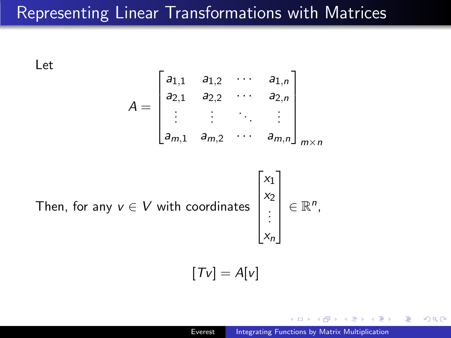Let

$$
A = \begin{bmatrix} a_{1,1} & a_{1,2} & \cdots & a_{1,n} \\ a_{2,1} & a_{2,2} & \cdots & a_{2,n} \\ \vdots & \vdots & \ddots & \vdots \\ a_{m,1} & a_{m,2} & \cdots & a_{m,n} \end{bmatrix}_{m \times n}
$$

Then, for any  $v \in V$  with coordinates

$$
\begin{bmatrix} x_1 \\ x_2 \\ \vdots \\ x_n \end{bmatrix} \in \mathbb{R}^n,
$$

 $\sqrt{ }$ 

 $\overline{1}$ 

 $[Tv] = A[v]$ 

 $\Omega$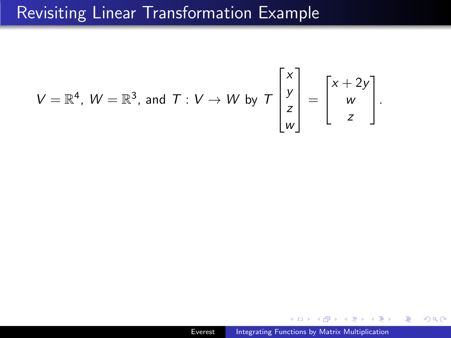### Revisiting Linear Transformation Example

$$
V = \mathbb{R}^4, W = \mathbb{R}^3, \text{ and } T: V \to W \text{ by } T\begin{bmatrix} x \\ y \\ z \\ w \end{bmatrix} = \begin{bmatrix} x + 2y \\ w \\ z \end{bmatrix}.
$$

E

化重复 化重变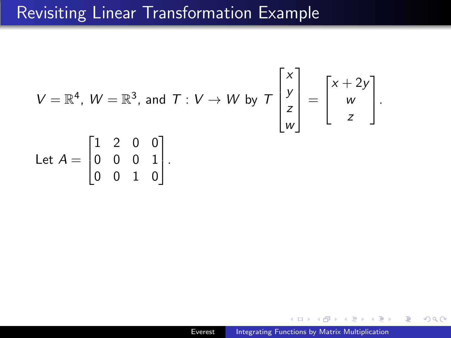### Revisiting Linear Transformation Example

$$
V = \mathbb{R}^{4}, W = \mathbb{R}^{3}, \text{ and } T : V \to W \text{ by } T \begin{bmatrix} x \\ y \\ z \\ w \end{bmatrix} = \begin{bmatrix} x + 2y \\ w \\ z \end{bmatrix}.
$$
  
Let  $A = \begin{bmatrix} 1 & 2 & 0 & 0 \\ 0 & 0 & 0 & 1 \\ 0 & 0 & 1 & 0 \end{bmatrix}.$ 

 $\mathbf{A} \equiv \mathbf{A} \quad \mathbf{A} \equiv \mathbf{A}$ 

E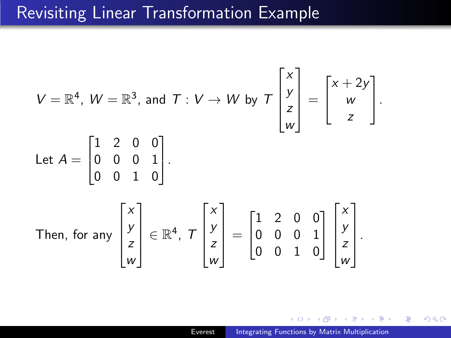### Revisiting Linear Transformation Example

$$
V = \mathbb{R}^{4}, W = \mathbb{R}^{3}, \text{ and } T : V \to W \text{ by } T\begin{bmatrix} x \\ y \\ z \\ w \end{bmatrix} = \begin{bmatrix} x + 2y \\ w \\ z \end{bmatrix}.
$$
  
Let  $A = \begin{bmatrix} 1 & 2 & 0 & 0 \\ 0 & 0 & 0 & 1 \\ 0 & 0 & 1 & 0 \end{bmatrix}.$   
Then, for any  $\begin{bmatrix} x \\ y \\ z \\ w \end{bmatrix} \in \mathbb{R}^{4}, T\begin{bmatrix} x \\ y \\ z \\ w \end{bmatrix} = \begin{bmatrix} 1 & 2 & 0 & 0 \\ 0 & 0 & 0 & 1 \\ 0 & 0 & 1 & 0 \end{bmatrix} \begin{bmatrix} x \\ y \\ z \\ w \end{bmatrix}.$ 

4 回 F →

E

ヨト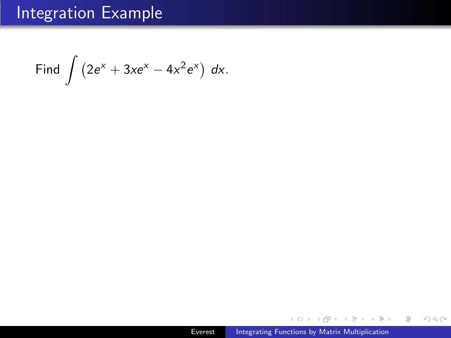Find  $\int (2e^x + 3xe^x - 4x^2e^x) dx$ .

E

**K 何 ▶ 【 三 ▶ 【 三 ▶**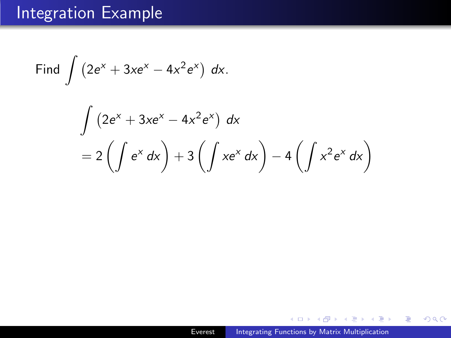Find 
$$
\int (2e^{x} + 3xe^{x} - 4x^{2}e^{x}) dx.
$$

$$
\int (2e^{x} + 3xe^{x} - 4x^{2}e^{x}) dx
$$

$$
= 2\left(\int e^{x} dx\right) + 3\left(\int xe^{x} dx\right) - 4\left(\int x^{2}e^{x} dx\right)
$$

Þ A  $\sim$  目

4 重  $\,$ э  $\,$ 

×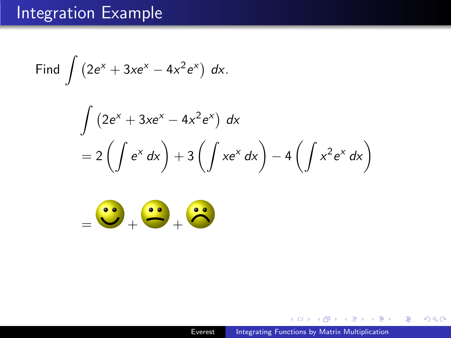Find 
$$
\int (2e^{x} + 3xe^{x} - 4x^{2}e^{x}) dx
$$
.  
\n
$$
\int (2e^{x} + 3xe^{x} - 4x^{2}e^{x}) dx
$$
\n
$$
= 2\left(\int e^{x} dx\right) + 3\left(\int xe^{x} dx\right) - 4\left(\int x^{2}e^{x} dx\right)
$$



伺  $\sim$ 

医阿雷氏阿雷氏征

目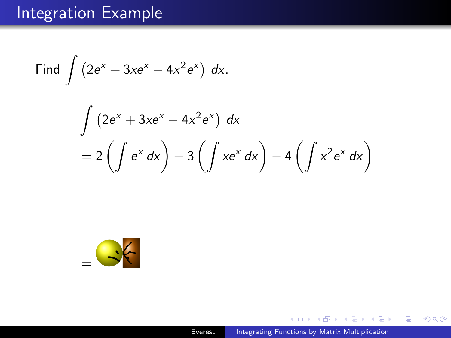Find 
$$
\int (2e^{x} + 3xe^{x} - 4x^{2}e^{x}) dx.
$$

$$
\int (2e^{x} + 3xe^{x} - 4x^{2}e^{x}) dx
$$

$$
= 2\left(\int e^{x} dx\right) + 3\left(\int xe^{x} dx\right) - 4\left(\int x^{2}e^{x} dx\right)
$$



- b a  $\mathbf{A} \equiv \mathbf{B} \quad \mathbf{A} \equiv \mathbf{B}$ 

 $\sim$ 

目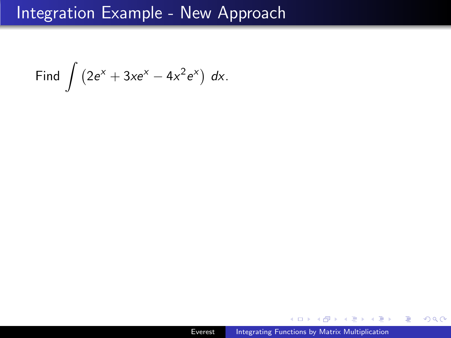### Integration Example - New Approach

Find  $\int (2e^x + 3xe^x - 4x^2e^x) dx$ .

同 ▶ イヨ ▶ イヨ ▶ │

E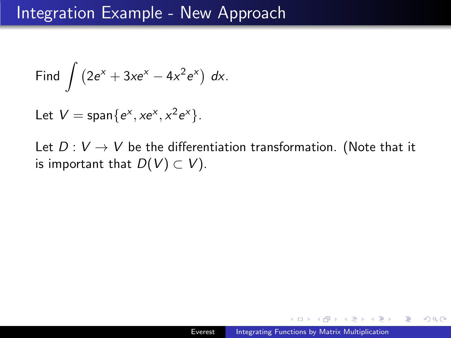Find 
$$
\int (2e^x + 3xe^x - 4x^2e^x) dx.
$$

Let  $V = \text{span}\{e^x, xe^x, x^2e^x\}.$ 

Let  $D: V \rightarrow V$  be the differentiation transformation. (Note that it is important that  $D(V) \subset V$ ).

医阿雷氏阿雷氏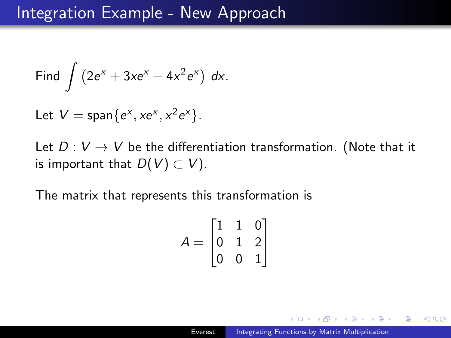Find 
$$
\int (2e^x + 3xe^x - 4x^2e^x) dx.
$$

Let  $V = \text{span}\{e^x, xe^x, x^2e^x\}.$ 

Let  $D: V \rightarrow V$  be the differentiation transformation. (Note that it is important that  $D(V) \subset V$ ).

The matrix that represents this transformation is

$$
A = \begin{bmatrix} 1 & 1 & 0 \\ 0 & 1 & 2 \\ 0 & 0 & 1 \end{bmatrix}
$$

医阿里氏阿里氏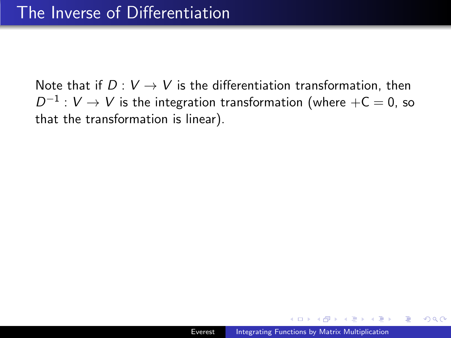Note that if  $D: V \rightarrow V$  is the differentiation transformation, then  $D^{-1}: V \rightarrow V$  is the integration transformation (where  $+{\mathsf C}=0$ , so that the transformation is linear).

つへへ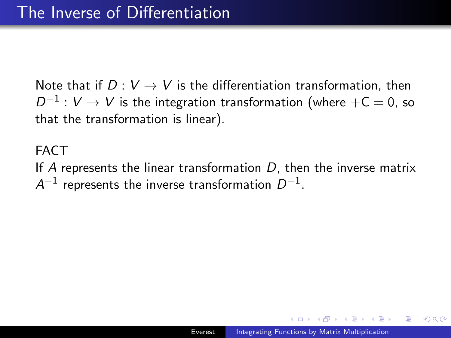Note that if  $D: V \to V$  is the differentiation transformation, then  $D^{-1}: V \rightarrow V$  is the integration transformation (where  $+{\mathsf C}=0$ , so that the transformation is linear).

#### FACT

If A represents the linear transformation  $D$ , then the inverse matrix  $\mathcal{A}^{-1}$  represents the inverse transformation  $D^{-1}.$ 

つくい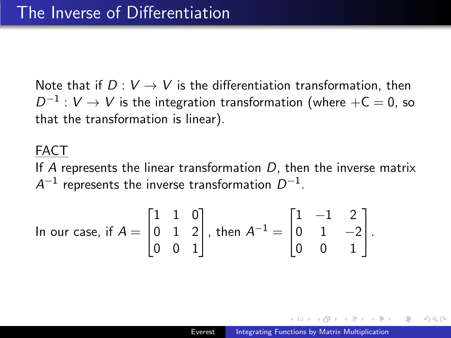Note that if  $D: V \to V$  is the differentiation transformation, then  $D^{-1}: V \rightarrow V$  is the integration transformation (where  $+{\mathsf C}=0$ , so that the transformation is linear).

#### FACT

If A represents the linear transformation  $D$ , then the inverse matrix  $\mathcal{A}^{-1}$  represents the inverse transformation  $D^{-1}.$ 

In our case, if 
$$
A = \begin{bmatrix} 1 & 1 & 0 \\ 0 & 1 & 2 \\ 0 & 0 & 1 \end{bmatrix}
$$
, then  $A^{-1} = \begin{bmatrix} 1 & -1 & 2 \\ 0 & 1 & -2 \\ 0 & 0 & 1 \end{bmatrix}$ .

つくい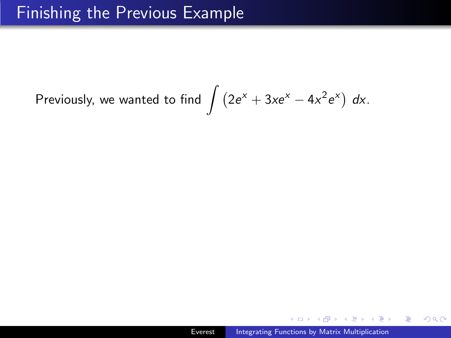# Previously, we wanted to find  $\int (2e^{x} + 3xe^{x} - 4x^{2}e^{x}) dx$ .

 $QQ$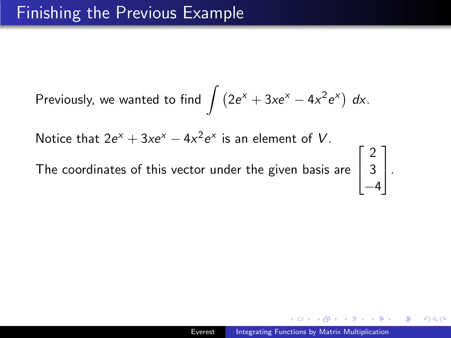$$
\text{Previously, we wanted to find } \int \left(2e^{x} + 3xe^{x} - 4x^{2}e^{x}\right) dx.
$$

Notice that  $2e^{x} + 3xe^{x} - 4x^{2}e^{x}$  is an element of V.

The coordinates of this vector under the given basis are

 $\sqrt{ }$  $\overline{\phantom{a}}$ 2 3  $-4$ 1  $\vert \cdot$ 

つへへ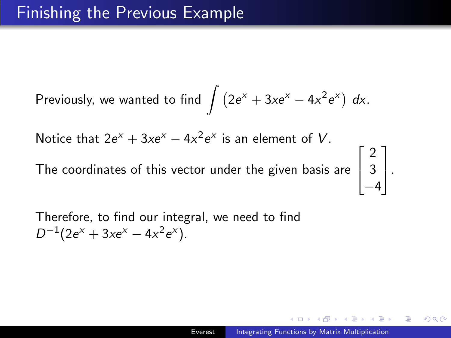$$
\text{Previously, we wanted to find } \int \left(2e^{x} + 3xe^{x} - 4x^{2}e^{x}\right) dx.
$$

Notice that  $2e^{x} + 3xe^{x} - 4x^{2}e^{x}$  is an element of V.

The coordinates of this vector under the given basis are

 $\sqrt{ }$  $\overline{\phantom{a}}$ 2 3  $-4$ 1  $\vert \cdot$ 

つくい

Therefore, to find our integral, we need to find  $D^{-1}(2e^x + 3xe^x - 4x^2e^x).$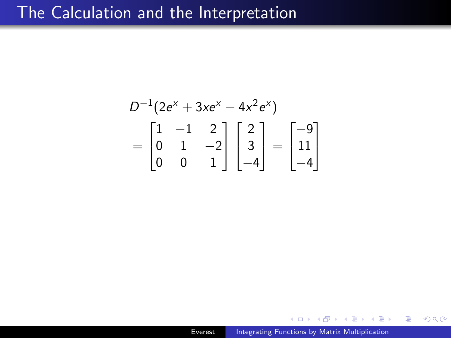### The Calculation and the Interpretation

$$
D^{-1}(2e^{x} + 3xe^{x} - 4x^{2}e^{x})
$$
  
=  $\begin{bmatrix} 1 & -1 & 2 \\ 0 & 1 & -2 \\ 0 & 0 & 1 \end{bmatrix} \begin{bmatrix} 2 \\ 3 \\ -4 \end{bmatrix} = \begin{bmatrix} -9 \\ 11 \\ -4 \end{bmatrix}$ 

Þ

重  $\sim$ ∍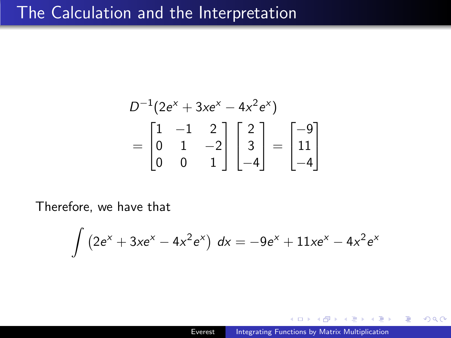### The Calculation and the Interpretation

$$
D^{-1}(2e^{x} + 3xe^{x} - 4x^{2}e^{x})
$$
  
= 
$$
\begin{bmatrix} 1 & -1 & 2 \\ 0 & 1 & -2 \\ 0 & 0 & 1 \end{bmatrix} \begin{bmatrix} 2 \\ 3 \\ -4 \end{bmatrix} = \begin{bmatrix} -9 \\ 11 \\ -4 \end{bmatrix}
$$

Therefore, we have that

$$
\int (2e^{x} + 3xe^{x} - 4x^{2}e^{x}) dx = -9e^{x} + 11xe^{x} - 4x^{2}e^{x}
$$

 $\Box$ 

∢ 重 ≯

性

 $299$ 

э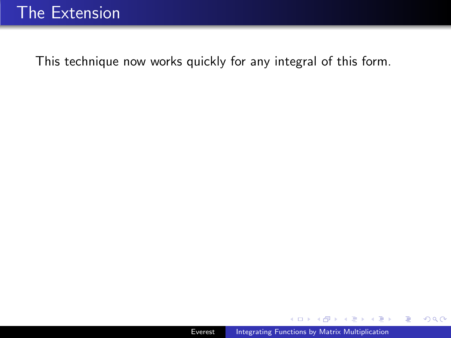$\sim$ 

 $\mathbf{p}$ 

 $\mathcal{A} \xrightarrow{\sim} \mathcal{B} \rightarrow \mathcal{A} \xrightarrow{\sim} \mathcal{B} \rightarrow$ 

E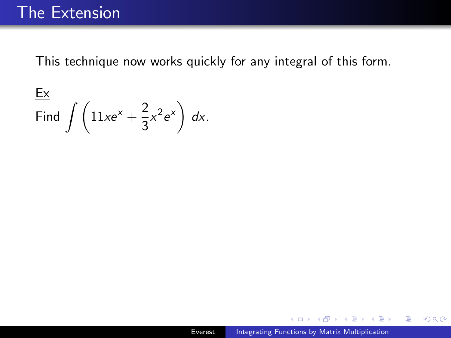$$
\frac{\text{Ex}}{\text{Find } \int \left(11xe^x + \frac{2}{3}x^2e^x\right) dx}.
$$

 $\sim$ 

**何 ) ( 三 )** ( 三 )

E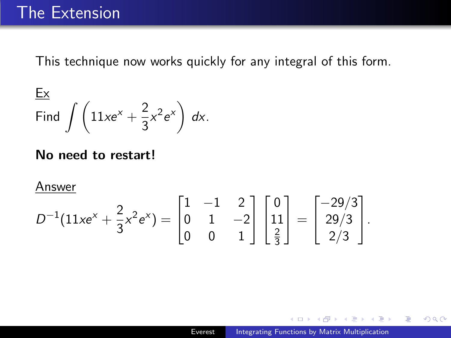$$
\frac{\text{Ex}}{\text{Find } \int \left(11xe^x + \frac{2}{3}x^2e^x\right) dx}.
$$

#### No need to restart!

Answer

$$
D^{-1}(11xe^{x}+\frac{2}{3}x^{2}e^{x})=\begin{bmatrix}1&-1&2\\0&1&-2\\0&0&1\end{bmatrix}\begin{bmatrix}0\\11\\ \frac{2}{3}\end{bmatrix}=\begin{bmatrix}-29/3\\29/3\\2/3\end{bmatrix}.
$$

 $\mathcal{A} \xrightarrow{\sim} \mathcal{B} \rightarrow \mathcal{A} \xrightarrow{\sim} \mathcal{B} \rightarrow$ 

 $\sim$ 

 $299$ 

э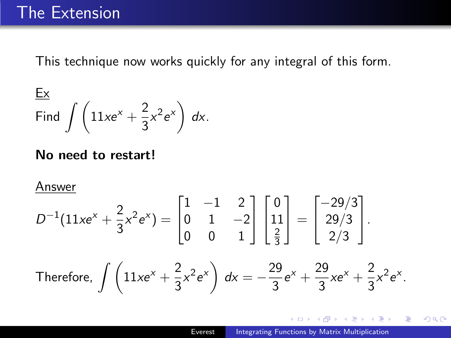$$
\frac{\text{Ex}}{\text{Find } \int \left(11xe^x + \frac{2}{3}x^2e^x\right) dx}.
$$

#### No need to restart!

Answer

$$
D^{-1}(11xe^{x} + \frac{2}{3}x^{2}e^{x}) = \begin{bmatrix} 1 & -1 & 2 \\ 0 & 1 & -2 \\ 0 & 0 & 1 \end{bmatrix} \begin{bmatrix} 0 \\ 11 \\ \frac{2}{3} \end{bmatrix} = \begin{bmatrix} -29/3 \\ 29/3 \\ 2/3 \end{bmatrix}.
$$
  
Therefore, 
$$
\int \left(11xe^{x} + \frac{2}{3}x^{2}e^{x}\right) dx = -\frac{29}{3}e^{x} + \frac{29}{3}xe^{x} + \frac{2}{3}x^{2}e^{x}.
$$

 $\mathcal{A} \xrightarrow{\sim} \mathcal{B} \rightarrow \mathcal{A} \xrightarrow{\sim} \mathcal{B} \rightarrow$ 

 $\sim$ 

 $299$ 

э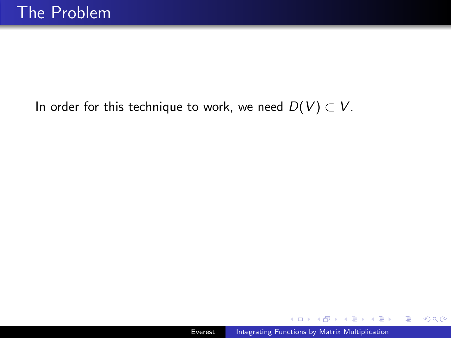#### In order for this technique to work, we need  $D(V) \subset V$ .

母 ▶ ヨ ヨ ▶ ヨ ヨ ▶

 $299$ 

重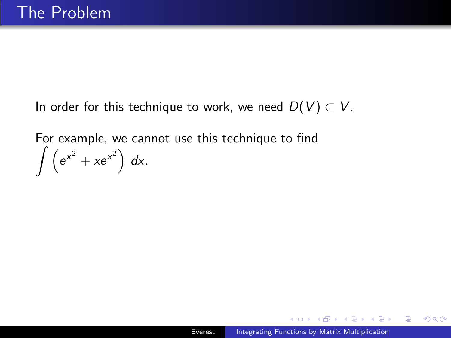In order for this technique to work, we need  $D(V) \subset V$ .

For example, we cannot use this technique to find  $\int (e^{x^2} + xe^{x^2}) dx$ .

人名英格兰人姓氏

 $QQ$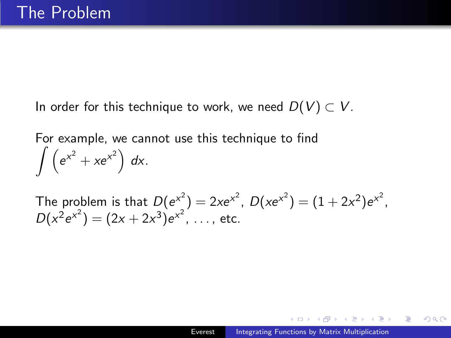In order for this technique to work, we need  $D(V) \subset V$ .

For example, we cannot use this technique to find  $\int (e^{x^2} + xe^{x^2}) dx$ .

The problem is that  $D(e^{x^2}) = 2xe^{x^2}$ ,  $D(xe^{x^2}) = (1 + 2x^2)e^{x^2}$ ,  $D(x^2 e^{x^2}) = (2x + 2x^3)e^{x^2}, \ldots$ , etc.

つくい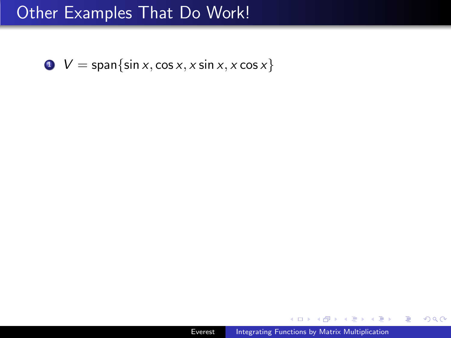$\bullet \quad V = \text{span}\{\sin x, \cos x, x \sin x, x \cos x\}$ 

 $299$ 

重

- 4 重 8 34 重 8

 $\sim$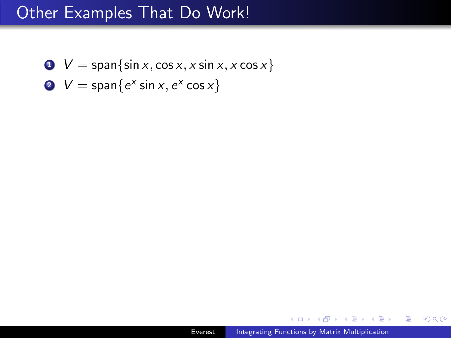- $\bullet \quad V = \text{span}\{\sin x, \cos x, x \sin x, x \cos x\}$
- 2  $V = \text{span}\{e^x \sin x, e^x \cos x\}$

∢ 重 ≯

ヨト э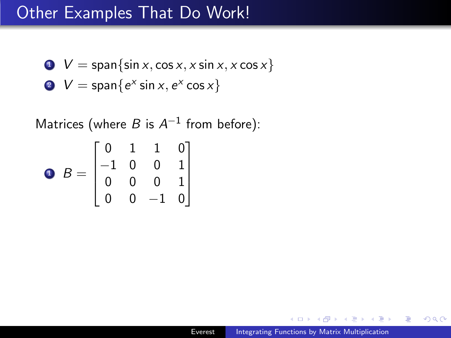- $\bullet \quad V = \text{span}\{\sin x, \cos x, x \sin x, x \cos x\}$
- 2  $V = \text{span}\{e^x \sin x, e^x \cos x\}$

Matrices (where B is  $A^{-1}$  from before):

$$
\bullet \ B = \begin{bmatrix} 0 & 1 & 1 & 0 \\ -1 & 0 & 0 & 1 \\ 0 & 0 & 0 & 1 \\ 0 & 0 & -1 & 0 \end{bmatrix}
$$

 $\Omega$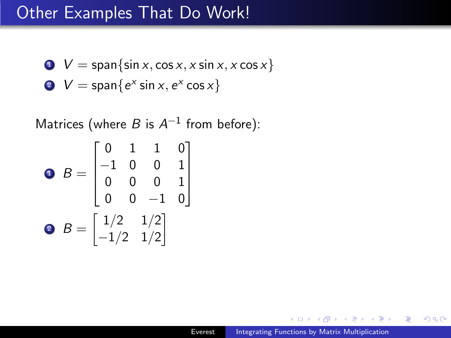- $\bullet \quad V = \text{span}\{\sin x, \cos x, x \sin x, x \cos x\}$
- 2  $V = \text{span}\{e^x \sin x, e^x \cos x\}$

Matrices (where B is  $A^{-1}$  from before):

$$
B = \begin{bmatrix} 0 & 1 & 1 & 0 \\ -1 & 0 & 0 & 1 \\ 0 & 0 & 0 & 1 \\ 0 & 0 & -1 & 0 \end{bmatrix}
$$
  
8 
$$
B = \begin{bmatrix} 1/2 & 1/2 \\ -1/2 & 1/2 \end{bmatrix}
$$

 $\Omega$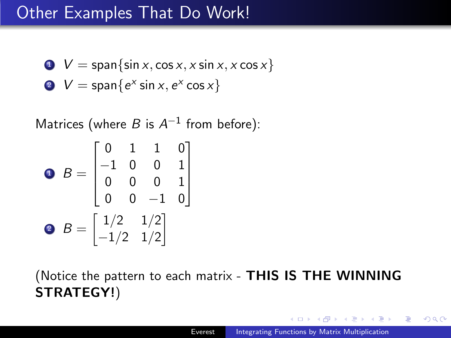- $\bullet \quad V = \text{span}\{\sin x, \cos x, x \sin x, x \cos x\}$
- 2  $V = \text{span}\{e^x \sin x, e^x \cos x\}$

Matrices (where B is  $A^{-1}$  from before):

$$
B = \begin{bmatrix} 0 & 1 & 1 & 0 \\ -1 & 0 & 0 & 1 \\ 0 & 0 & 0 & 1 \\ 0 & 0 & -1 & 0 \end{bmatrix}
$$
  
8 
$$
B = \begin{bmatrix} 1/2 & 1/2 \\ -1/2 & 1/2 \end{bmatrix}
$$

(Notice the pattern to each matrix - THIS IS THE WINNING STRATEGY!)

つくい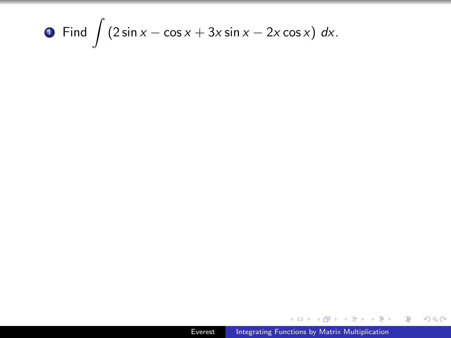## **1** Find  $\int (2 \sin x - \cos x + 3x \sin x - 2x \cos x) dx$ .

伊 ▶ イヨ ▶ イヨ ▶

 $2Q$ 

重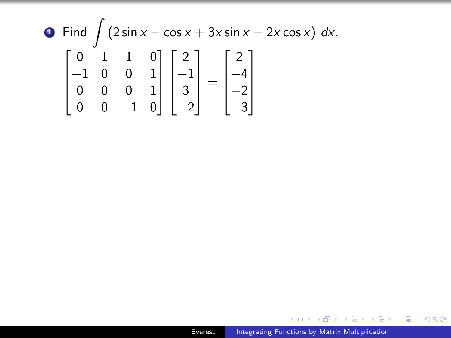$$
\begin{array}{c}\n\bullet \quad \text{Find} \quad \int \left(2\sin x - \cos x + 3x \sin x - 2x \cos x\right) \, dx. \\
\left[\begin{array}{ccc|c}\n0 & 1 & 1 & 0 \\
-1 & 0 & 0 & 1 \\
0 & 0 & 0 & 1 \\
0 & 0 & -1 & 0\n\end{array}\right]\n\left[\begin{array}{c}\n2 \\
-1 \\
3 \\
-2\n\end{array}\right] =\n\left[\begin{array}{c}\n2 \\
-4 \\
-2 \\
-3\n\end{array}\right]\n\end{array}
$$

メロトメ 伊 トメミトメミト ニミー つくび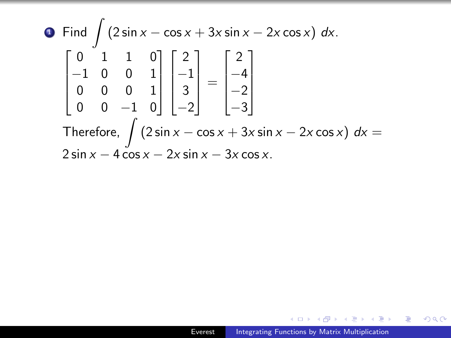$$
\begin{aligned}\n\bullet \quad & \text{Find } \int \left(2\sin x - \cos x + 3x \sin x - 2x \cos x\right) \, dx. \\
& \begin{bmatrix} 0 & 1 & 1 & 0 \\ -1 & 0 & 0 & 1 \\ 0 & 0 & 0 & 1 \\ 0 & 0 & -1 & 0 \end{bmatrix} \begin{bmatrix} 2 \\ -1 \\ 3 \\ -2 \end{bmatrix} = \begin{bmatrix} 2 \\ -4 \\ -2 \\ -3 \end{bmatrix} \\
\text{Therefore, } \int \left(2\sin x - \cos x + 3x \sin x - 2x \cos x\right) \, dx = \\
& 2\sin x - 4\cos x - 2x \sin x - 3x \cos x.\n\end{aligned}
$$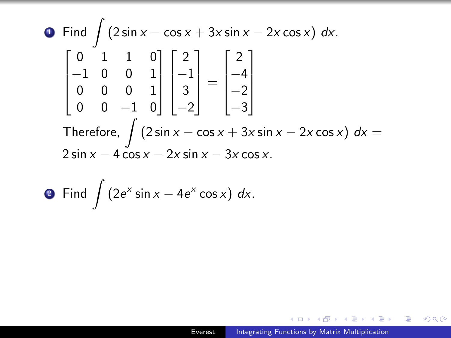$$
\begin{aligned}\n\bullet \quad & \text{Find } \int \left(2\sin x - \cos x + 3x \sin x - 2x \cos x\right) \, dx. \\
& \begin{bmatrix} 0 & 1 & 1 & 0 \\ -1 & 0 & 0 & 1 \\ 0 & 0 & 0 & 1 \\ 0 & 0 & -1 & 0 \end{bmatrix} \begin{bmatrix} 2 \\ -1 \\ 3 \\ -2 \end{bmatrix} = \begin{bmatrix} 2 \\ -4 \\ -2 \\ -3 \end{bmatrix} \\
\text{Therefore, } \int \left(2\sin x - \cos x + 3x \sin x - 2x \cos x\right) \, dx = \\
& 2\sin x - 4\cos x - 2x \sin x - 3x \cos x.\n\end{aligned}
$$

• Find 
$$
\int (2e^x \sin x - 4e^x \cos x) dx
$$
.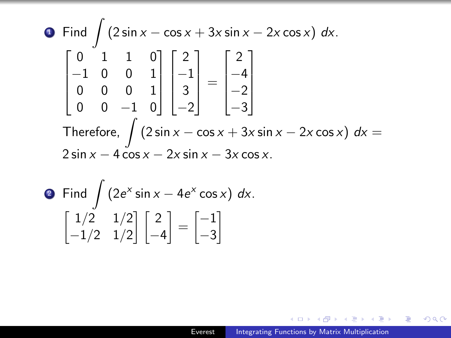$$
\begin{aligned}\n\bullet \quad & \text{Find } \int \left(2\sin x - \cos x + 3x \sin x - 2x \cos x\right) \, dx. \\
& \begin{bmatrix} 0 & 1 & 1 & 0 \\ -1 & 0 & 0 & 1 \\ 0 & 0 & 0 & 1 \\ 0 & 0 & -1 & 0 \end{bmatrix} \begin{bmatrix} 2 \\ -1 \\ 3 \\ -2 \end{bmatrix} = \begin{bmatrix} 2 \\ -4 \\ -2 \\ -3 \end{bmatrix} \\
\text{Therefore, } \int \left(2\sin x - \cos x + 3x \sin x - 2x \cos x\right) \, dx = \\
& 2\sin x - 4\cos x - 2x \sin x - 3x \cos x.\n\end{aligned}
$$

• Find 
$$
\int (2e^x \sin x - 4e^x \cos x) dx
$$
.  
\n $\begin{bmatrix} 1/2 & 1/2 \\ -1/2 & 1/2 \end{bmatrix} \begin{bmatrix} 2 \\ -4 \end{bmatrix} = \begin{bmatrix} -1 \\ -3 \end{bmatrix}$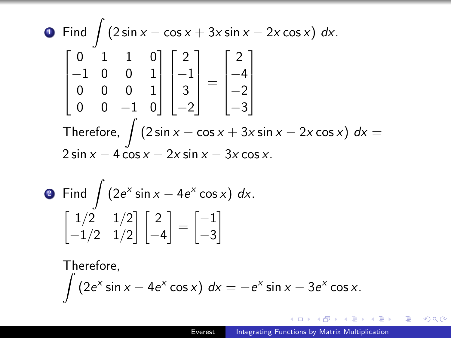$$
\begin{aligned}\n\bullet \quad & \text{Find } \int \left(2\sin x - \cos x + 3x \sin x - 2x \cos x\right) \, dx. \\
& \begin{bmatrix} 0 & 1 & 1 & 0 \\ -1 & 0 & 0 & 1 \\ 0 & 0 & 0 & 1 \\ 0 & 0 & -1 & 0 \end{bmatrix} \begin{bmatrix} 2 \\ -1 \\ 3 \\ -2 \end{bmatrix} = \begin{bmatrix} 2 \\ -4 \\ -2 \\ -3 \end{bmatrix} \\
\text{Therefore, } \int \left(2\sin x - \cos x + 3x \sin x - 2x \cos x\right) \, dx = \\
& 2\sin x - 4\cos x - 2x \sin x - 3x \cos x.\n\end{aligned}
$$

• Find 
$$
\int (2e^x \sin x - 4e^x \cos x) dx
$$
.  
\n $\begin{bmatrix} 1/2 & 1/2 \\ -1/2 & 1/2 \end{bmatrix} \begin{bmatrix} 2 \\ -4 \end{bmatrix} = \begin{bmatrix} -1 \\ -3 \end{bmatrix}$ 

Therefore,  
\n
$$
\int (2e^x \sin x - 4e^x \cos x) dx = -e^x \sin x - 3e^x \cos x.
$$

メロトメ 伊 トメミトメミト ニミー つくび